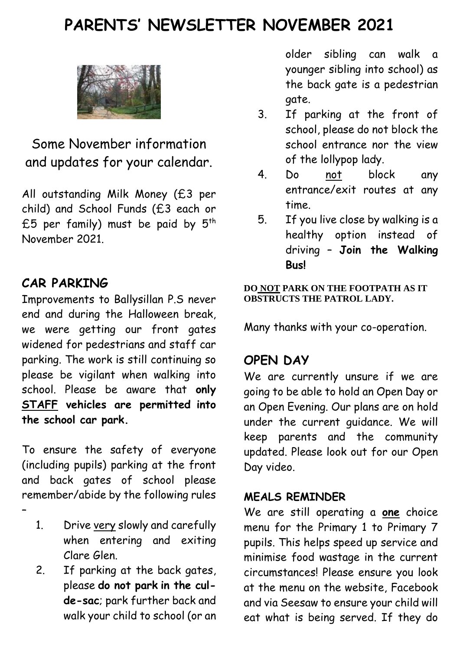# **PARENTS' NEWSLETTER NOVEMBER 2021**



Some November information and updates for your calendar.

All outstanding Milk Money (£3 per child) and School Funds (£3 each or £5 per family) must be paid by  $5<sup>th</sup>$ November 2021.

#### **CAR PARKING**

–

Improvements to Ballysillan P.S never end and during the Halloween break, we were getting our front gates widened for pedestrians and staff car parking. The work is still continuing so please be vigilant when walking into school. Please be aware that **only STAFF vehicles are permitted into the school car park.**

To ensure the safety of everyone (including pupils) parking at the front and back gates of school please remember/abide by the following rules

- 1. Drive very slowly and carefully when entering and exiting Clare Glen.
- 2. If parking at the back gates, please **do not park in the culde-sac**; park further back and walk your child to school (or an

older sibling can walk a younger sibling into school) as the back gate is a pedestrian gate.

- 3. If parking at the front of school, please do not block the school entrance nor the view of the lollypop lady.
- 4. Do not block any entrance/exit routes at any time.
- 5. If you live close by walking is a healthy option instead of driving – **Join the Walking Bus!**

#### **DO NOT PARK ON THE FOOTPATH AS IT OBSTRUCTS THE PATROL LADY.**

Many thanks with your co-operation.

#### **OPEN DAY**

We are currently unsure if we are going to be able to hold an Open Day or an Open Evening. Our plans are on hold under the current guidance. We will keep parents and the community updated. Please look out for our Open Day video.

#### **MEALS REMINDER**

We are still operating a **one** choice menu for the Primary 1 to Primary 7 pupils. This helps speed up service and minimise food wastage in the current circumstances! Please ensure you look at the menu on the website, Facebook and via Seesaw to ensure your child will eat what is being served. If they do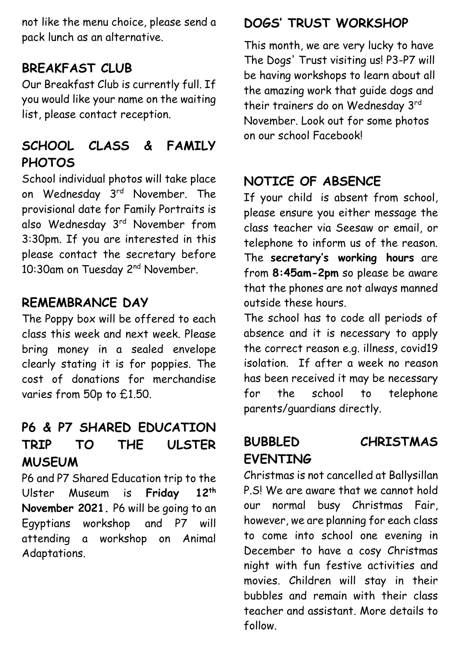not like the menu choice, please send a pack lunch as an alternative.

#### **BREAKFAST CLUB**

Our Breakfast Club is currently full. If you would like your name on the waiting list, please contact reception.

## **SCHOOL CLASS & FAMILY PHOTOS**

School individual photos will take place on Wednesday 3<sup>rd</sup> November. The provisional date for Family Portraits is also Wednesday 3rd November from 3:30pm. If you are interested in this please contact the secretary before 10:30am on Tuesday 2<sup>nd</sup> November.

#### **REMEMBRANCE DAY**

The Poppy box will be offered to each class this week and next week. Please bring money in a sealed envelope clearly stating it is for poppies. The cost of donations for merchandise varies from 50p to £1.50.

### **P6 & P7 SHARED EDUCATION TRIP TO THE ULSTER MUSEUM**

P6 and P7 Shared Education trip to the Ulster Museum is **Friday 12th November 2021.** P6 will be going to an Egyptians workshop and P7 will attending a workshop on Animal Adaptations.

#### **DOGS' TRUST WORKSHOP**

This month, we are very lucky to have The Dogs' Trust visiting us! P3-P7 will be having workshops to learn about all the amazing work that guide dogs and their trainers do on Wednesday 3rd November. Look out for some photos on our school Facebook!

#### **NOTICE OF ABSENCE**

If your child is absent from school, please ensure you either message the class teacher via Seesaw or email, or telephone to inform us of the reason. The **secretary's working hours** are from **8:45am-2pm** so please be aware that the phones are not always manned outside these hours.

The school has to code all periods of absence and it is necessary to apply the correct reason e.g. illness, covid19 isolation. If after a week no reason has been received it may be necessary for the school to telephone parents/guardians directly.

# **BUBBLED CHRISTMAS EVENTING**

Christmas is not cancelled at Ballysillan P.S! We are aware that we cannot hold our normal busy Christmas Fair, however, we are planning for each class to come into school one evening in December to have a cosy Christmas night with fun festive activities and movies. Children will stay in their bubbles and remain with their class teacher and assistant. More details to follow.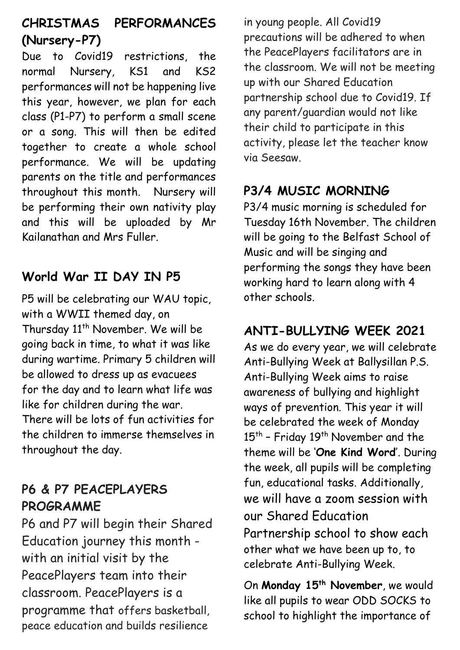# **CHRISTMAS PERFORMANCES (Nursery-P7)**

Due to Covid19 restrictions, the normal Nursery, KS1 and KS2 performances will not be happening live this year, however, we plan for each class (P1-P7) to perform a small scene or a song. This will then be edited together to create a whole school performance. We will be updating parents on the title and performances throughout this month. Nursery will be performing their own nativity play and this will be uploaded by Mr Kailanathan and Mrs Fuller.

# **World War II DAY IN P5**

P5 will be celebrating our WAU topic, with a WWII themed day, on Thursday 11<sup>th</sup> November. We will be going back in time, to what it was like during wartime. Primary 5 children will be allowed to dress up as evacuees for the day and to learn what life was like for children during the war. There will be lots of fun activities for the children to immerse themselves in throughout the day.

#### **P6 & P7 PEACEPLAYERS PROGRAMME**

P6 and P7 will begin their Shared Education journey this month with an initial visit by the PeacePlayers team into their classroom. PeacePlayers is a programme that offers basketball, peace education and builds resilience

in young people. All Covid19 precautions will be adhered to when the PeacePlayers facilitators are in the classroom. We will not be meeting up with our Shared Education partnership school due to Covid19. If any parent/guardian would not like their child to participate in this activity, please let the teacher know via Seesaw.

### **P3/4 MUSIC MORNING**

P3/4 music morning is scheduled for Tuesday 16th November. The children will be going to the Belfast School of Music and will be singing and performing the songs they have been working hard to learn along with 4 other schools.

### **ANTI-BULLYING WEEK 2021**

As we do every year, we will celebrate Anti-Bullying Week at Ballysillan P.S. Anti-Bullying Week aims to raise awareness of bullying and highlight ways of prevention. This year it will be celebrated the week of Monday 15<sup>th</sup> - Friday 19<sup>th</sup> November and the theme will be '**One Kind Word**'. During the week, all pupils will be completing fun, educational tasks. Additionally, we will have a zoom session with our Shared Education Partnership school to show each other what we have been up to, to celebrate Anti-Bullying Week.

On **Monday 15th November**, we would like all pupils to wear ODD SOCKS to school to highlight the importance of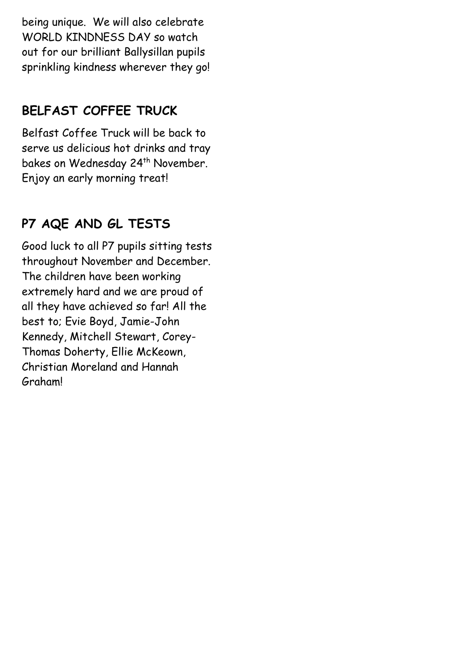being unique. We will also celebrate WORLD KINDNESS DAY so watch out for our brilliant Ballysillan pupils sprinkling kindness wherever they go!

### **BELFAST COFFEE TRUCK**

Belfast Coffee Truck will be back to serve us delicious hot drinks and tray bakes on Wednesday 24<sup>th</sup> November. Enjoy an early morning treat!

# **P7 AQE AND GL TESTS**

Good luck to all P7 pupils sitting tests throughout November and December. The children have been working extremely hard and we are proud of all they have achieved so far! All the best to; Evie Boyd, Jamie-John Kennedy, Mitchell Stewart, Corey-Thomas Doherty, Ellie McKeown, Christian Moreland and Hannah Graham!